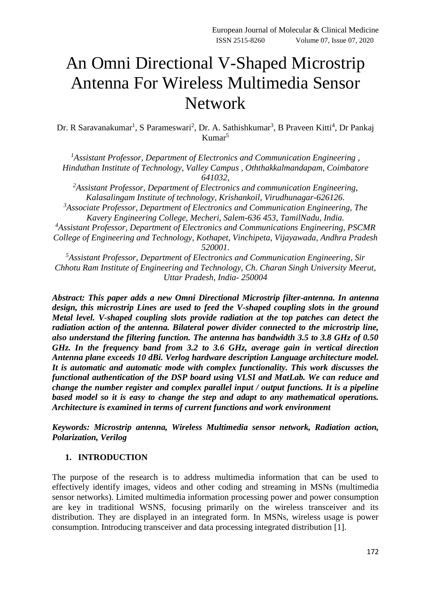# An Omni Directional V-Shaped Microstrip Antenna For Wireless Multimedia Sensor Network

Dr. R Saravanakumar<sup>1</sup>, S Parameswari<sup>2</sup>, Dr. A. Sathishkumar<sup>3</sup>, B Praveen Kitti<sup>4</sup>, Dr Pankaj Kumar<sup>5</sup>

*<sup>1</sup>Assistant Professor, Department of Electronics and Communication Engineering , Hinduthan Institute of Technology, Valley Campus , Oththakkalmandapam, Coimbatore 641032,*

*<sup>2</sup>Assistant Professor, Department of Electronics and communication Engineering, Kalasalingam Institute of technology, Krishankoil, Virudhunagar-626126.*

*<sup>3</sup>Associate Professor, Department of Electronics and Communication Engineering, The Kavery Engineering College, Mecheri, Salem-636 453, TamilNadu, India.*

*<sup>4</sup>Assistant Professor, Department of Electronics and Communications Engineering, PSCMR College of Engineering and Technology, Kothapet, Vinchipeta, Vijayawada, Andhra Pradesh 520001.*

*<sup>5</sup>Assistant Professor, Department of Electronics and Communication Engineering, Sir Chhotu Ram Institute of Engineering and Technology, Ch. Charan Singh University Meerut, Uttar Pradesh, India- 250004*

*Abstract: This paper adds a new Omni Directional Microstrip filter-antenna. In antenna design, this microstrip Lines are used to feed the V-shaped coupling slots in the ground Metal level. V-shaped coupling slots provide radiation at the top patches can detect the radiation action of the antenna. Bilateral power divider connected to the microstrip line, also understand the filtering function. The antenna has bandwidth 3.5 to 3.8 GHz of 0.50 GHz. In the frequency band from 3.2 to 3.6 GHz, average gain in vertical direction Antenna plane exceeds 10 dBi. Verlog hardware description Language architecture model. It is automatic and automatic mode with complex functionality. This work discusses the functional authentication of the DSP board using VLSI and MatLab. We can reduce and change the number register and complex parallel input / output functions. It is a pipeline based model so it is easy to change the step and adapt to any mathematical operations. Architecture is examined in terms of current functions and work environment*

*Keywords: Microstrip antenna, Wireless Multimedia sensor network, Radiation action, Polarization, Verilog*

### **1. INTRODUCTION**

The purpose of the research is to address multimedia information that can be used to effectively identify images, videos and other coding and streaming in MSNs (multimedia sensor networks). Limited multimedia information processing power and power consumption are key in traditional WSNS, focusing primarily on the wireless transceiver and its distribution. They are displayed in an integrated form. In MSNs, wireless usage is power consumption. Introducing transceiver and data processing integrated distribution [1].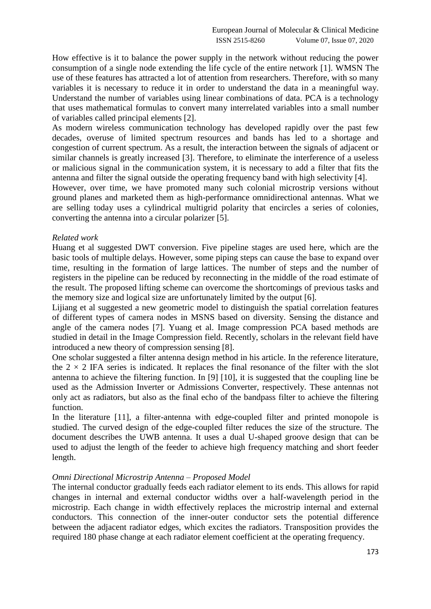How effective is it to balance the power supply in the network without reducing the power consumption of a single node extending the life cycle of the entire network [1]. WMSN The use of these features has attracted a lot of attention from researchers. Therefore, with so many variables it is necessary to reduce it in order to understand the data in a meaningful way. Understand the number of variables using linear combinations of data. PCA is a technology that uses mathematical formulas to convert many interrelated variables into a small number of variables called principal elements [2].

As modern wireless communication technology has developed rapidly over the past few decades, overuse of limited spectrum resources and bands has led to a shortage and congestion of current spectrum. As a result, the interaction between the signals of adjacent or similar channels is greatly increased [3]. Therefore, to eliminate the interference of a useless or malicious signal in the communication system, it is necessary to add a filter that fits the antenna and filter the signal outside the operating frequency band with high selectivity [4].

However, over time, we have promoted many such colonial microstrip versions without ground planes and marketed them as high-performance omnidirectional antennas. What we are selling today uses a cylindrical multigrid polarity that encircles a series of colonies, converting the antenna into a circular polarizer [5].

### *Related work*

Huang et al suggested DWT conversion. Five pipeline stages are used here, which are the basic tools of multiple delays. However, some piping steps can cause the base to expand over time, resulting in the formation of large lattices. The number of steps and the number of registers in the pipeline can be reduced by reconnecting in the middle of the road estimate of the result. The proposed lifting scheme can overcome the shortcomings of previous tasks and the memory size and logical size are unfortunately limited by the output [6].

Lijiang et al suggested a new geometric model to distinguish the spatial correlation features of different types of camera nodes in MSNS based on diversity. Sensing the distance and angle of the camera nodes [7]. Yuang et al. Image compression PCA based methods are studied in detail in the Image Compression field. Recently, scholars in the relevant field have introduced a new theory of compression sensing [8].

One scholar suggested a filter antenna design method in his article. In the reference literature, the  $2 \times 2$  IFA series is indicated. It replaces the final resonance of the filter with the slot antenna to achieve the filtering function. In [9] [10], it is suggested that the coupling line be used as the Admission Inverter or Admissions Converter, respectively. These antennas not only act as radiators, but also as the final echo of the bandpass filter to achieve the filtering function.

In the literature [11], a filter-antenna with edge-coupled filter and printed monopole is studied. The curved design of the edge-coupled filter reduces the size of the structure. The document describes the UWB antenna. It uses a dual U-shaped groove design that can be used to adjust the length of the feeder to achieve high frequency matching and short feeder length.

#### *Omni Directional Microstrip Antenna – Proposed Model*

The internal conductor gradually feeds each radiator element to its ends. This allows for rapid changes in internal and external conductor widths over a half-wavelength period in the microstrip. Each change in width effectively replaces the microstrip internal and external conductors. This connection of the inner-outer conductor sets the potential difference between the adjacent radiator edges, which excites the radiators. Transposition provides the required 180 phase change at each radiator element coefficient at the operating frequency.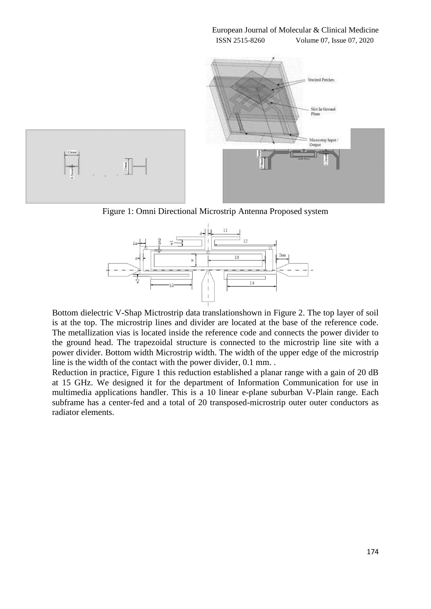

Figure 1: Omni Directional Microstrip Antenna Proposed system



Bottom dielectric V-Shap Mictrostrip data translationshown in Figure 2. The top layer of soil is at the top. The microstrip lines and divider are located at the base of the reference code. The metallization vias is located inside the reference code and connects the power divider to the ground head. The trapezoidal structure is connected to the microstrip line site with a power divider. Bottom width Microstrip width. The width of the upper edge of the microstrip line is the width of the contact with the power divider, 0.1 mm. .

Reduction in practice, Figure 1 this reduction established a planar range with a gain of 20 dB at 15 GHz. We designed it for the department of Information Communication for use in multimedia applications handler. This is a 10 linear e-plane suburban V-Plain range. Each subframe has a center-fed and a total of 20 transposed-microstrip outer outer conductors as radiator elements.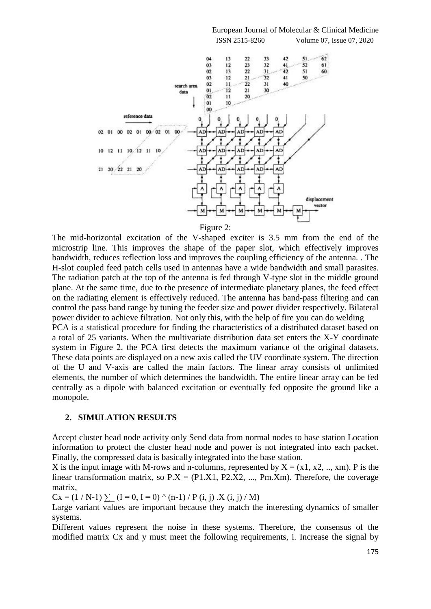

Figure 2:

The mid-horizontal excitation of the V-shaped exciter is 3.5 mm from the end of the microstrip line. This improves the shape of the paper slot, which effectively improves bandwidth, reduces reflection loss and improves the coupling efficiency of the antenna. . The H-slot coupled feed patch cells used in antennas have a wide bandwidth and small parasites. The radiation patch at the top of the antenna is fed through V-type slot in the middle ground plane. At the same time, due to the presence of intermediate planetary planes, the feed effect on the radiating element is effectively reduced. The antenna has band-pass filtering and can control the pass band range by tuning the feeder size and power divider respectively. Bilateral power divider to achieve filtration. Not only this, with the help of fire you can do welding PCA is a statistical procedure for finding the characteristics of a distributed dataset based on a total of 25 variants. When the multivariate distribution data set enters the X-Y coordinate

system in Figure 2, the PCA first detects the maximum variance of the original datasets. These data points are displayed on a new axis called the UV coordinate system. The direction of the U and V-axis are called the main factors. The linear array consists of unlimited elements, the number of which determines the bandwidth. The entire linear array can be fed centrally as a dipole with balanced excitation or eventually fed opposite the ground like a monopole.

#### **2. SIMULATION RESULTS**

Accept cluster head node activity only Send data from normal nodes to base station Location information to protect the cluster head node and power is not integrated into each packet. Finally, the compressed data is basically integrated into the base station.

X is the input image with M-rows and n-columns, represented by  $X = (x1, x2, ..., xm)$ . P is the linear transformation matrix, so  $P.X = (P1.X1, P2.X2, ..., Pm.Xm)$ . Therefore, the coverage matrix,

 $Cx = (1 / N-1) \sum (I = 0, I = 0) (n-1) / P(i, j) .X (i, j) / M)$ 

Large variant values are important because they match the interesting dynamics of smaller systems.

Different values represent the noise in these systems. Therefore, the consensus of the modified matrix Cx and y must meet the following requirements, i. Increase the signal by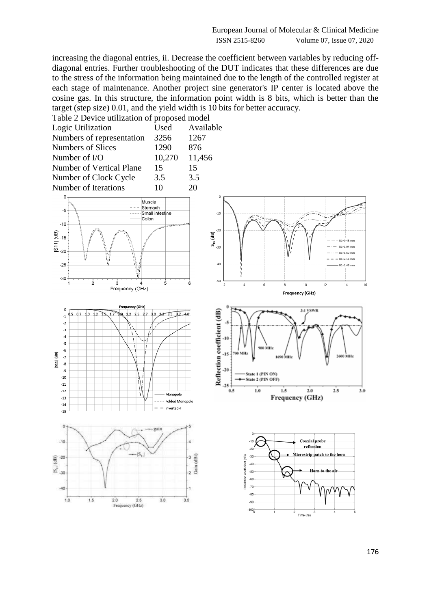increasing the diagonal entries, ii. Decrease the coefficient between variables by reducing offdiagonal entries. Further troubleshooting of the DUT indicates that these differences are due to the stress of the information being maintained due to the length of the controlled register at each stage of maintenance. Another project sine generator's IP center is located above the cosine gas. In this structure, the information point width is 8 bits, which is better than the target (step size) 0.01, and the yield width is 10 bits for better accuracy.

| Table 2 Device utilization of proposed model |           |
|----------------------------------------------|-----------|
| Used                                         | Available |
| 3256                                         | 1267      |
| 1290                                         | 876       |
| 10,270                                       | 11,456    |
| 15                                           | 15        |
| 3.5                                          | 3.5       |
| 10                                           | 20        |
|                                              |           |





 $-6$ 







176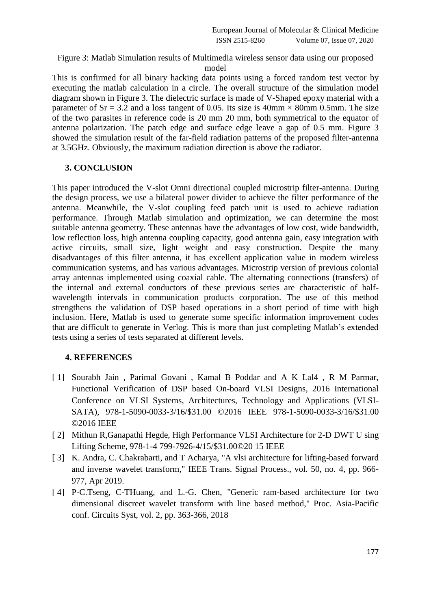## Figure 3: Matlab Simulation results of Multimedia wireless sensor data using our proposed model

This is confirmed for all binary hacking data points using a forced random test vector by executing the matlab calculation in a circle. The overall structure of the simulation model diagram shown in Figure 3. The dielectric surface is made of V-Shaped epoxy material with a parameter of Sr = 3.2 and a loss tangent of 0.05. Its size is  $40 \text{mm} \times 80 \text{mm}$  0.5mm. The size of the two parasites in reference code is 20 mm 20 mm, both symmetrical to the equator of antenna polarization. The patch edge and surface edge leave a gap of 0.5 mm. Figure 3 showed the simulation result of the far-field radiation patterns of the proposed filter-antenna at 3.5GHz. Obviously, the maximum radiation direction is above the radiator.

## **3. CONCLUSION**

This paper introduced the V-slot Omni directional coupled microstrip filter-antenna. During the design process, we use a bilateral power divider to achieve the filter performance of the antenna. Meanwhile, the V-slot coupling feed patch unit is used to achieve radiation performance. Through Matlab simulation and optimization, we can determine the most suitable antenna geometry. These antennas have the advantages of low cost, wide bandwidth, low reflection loss, high antenna coupling capacity, good antenna gain, easy integration with active circuits, small size, light weight and easy construction. Despite the many disadvantages of this filter antenna, it has excellent application value in modern wireless communication systems, and has various advantages. Microstrip version of previous colonial array antennas implemented using coaxial cable. The alternating connections (transfers) of the internal and external conductors of these previous series are characteristic of halfwavelength intervals in communication products corporation. The use of this method strengthens the validation of DSP based operations in a short period of time with high inclusion. Here, Matlab is used to generate some specific information improvement codes that are difficult to generate in Verlog. This is more than just completing Matlab's extended tests using a series of tests separated at different levels.

## **4. REFERENCES**

- [ 1] Sourabh Jain, Parimal Govani, Kamal B Poddar and A K Lal4, R M Parmar, Functional Verification of DSP based On-board VLSI Designs, 2016 International Conference on VLSI Systems, Architectures, Technology and Applications (VLSI-SATA), 978-1-5090-0033-3/16/\$31.00 ©2016 IEEE 978-1-5090-0033-3/16/\$31.00 ©2016 IEEE
- [ 2] Mithun R,Ganapathi Hegde, High Performance VLSI Architecture for 2-D DWT U sing Lifting Scheme, 978-1-4 799-7926-4/15/\$31.00©20 15 IEEE
- [ 3] K. Andra, C. Chakrabarti, and T Acharya, "A vlsi architecture for lifting-based forward and inverse wavelet transform," IEEE Trans. Signal Process., vol. 50, no. 4, pp. 966- 977, Apr 2019.
- [4] P-C.Tseng, C-THuang, and L.-G. Chen, "Generic ram-based architecture for two dimensional discreet wavelet transform with line based method," Proc. Asia-Pacific conf. Circuits Syst, vol. 2, pp. 363-366, 2018